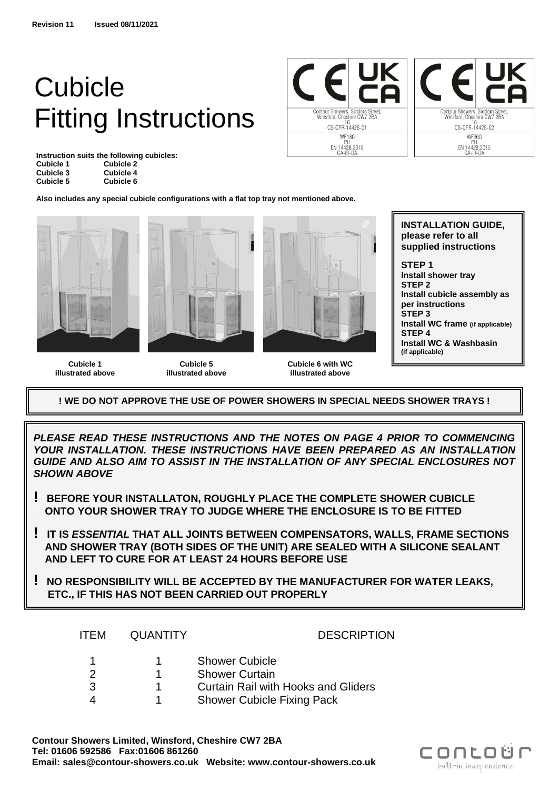# Cubicle Fitting Instructions

**Instruction suits the following cubicles: Cubicle 1 Cubicle 2 Cubicle 3 Cubicle 4 Cubicle 5 Cubicle 6**

Contour Showers, Siddorn Street<br>Winsford, Cheshire CW7 2BA 16<br>CS-CPR-14428-01 WF180<br>PH<br>EN 14428:2015<br>CA-IR-DA



**Also includes any special cubicle configurations with a flat top tray not mentioned above.**



**Cubicle 1 illustrated above**

**Cubicle 5 illustrated above**



**Cubicle 6 with WC illustrated above**

**INSTALLATION GUIDE, please refer to all supplied instructions STEP 1 Install shower tray STEP 2 Install cubicle assembly as per instructions STEP 3 Install WC frame (if applicable)**

**STEP 4 Install WC & Washbasin (if applicable)**

**! WE DO NOT APPROVE THE USE OF POWER SHOWERS IN SPECIAL NEEDS SHOWER TRAYS !**

*PLEASE READ THESE INSTRUCTIONS AND THE NOTES ON PAGE 4 PRIOR TO COMMENCING YOUR INSTALLATION. THESE INSTRUCTIONS HAVE BEEN PREPARED AS AN INSTALLATION GUIDE AND ALSO AIM TO ASSIST IN THE INSTALLATION OF ANY SPECIAL ENCLOSURES NOT SHOWN ABOVE*

- **! BEFORE YOUR INSTALLATON, ROUGHLY PLACE THE COMPLETE SHOWER CUBICLE . . ONTO YOUR SHOWER TRAY TO JUDGE WHERE THE ENCLOSURE IS TO BE FITTED**
- **! IT IS** *ESSENTIAL* **THAT ALL JOINTS BETWEEN COMPENSATORS, WALLS, FRAME SECTIONS . AND SHOWER TRAY (BOTH SIDES OF THE UNIT) ARE SEALED WITH A SILICONE SEALANT . AND LEFT TO CURE FOR AT LEAST 24 HOURS BEFORE USE**
- **! NO RESPONSIBILITY WILL BE ACCEPTED BY THE MANUFACTURER FOR WATER LEAKS, . ETC., IF THIS HAS NOT BEEN CARRIED OUT PROPERLY**

| ITEM. | <b>QUANTITY</b> | <b>DESCRIPTION</b>                         |
|-------|-----------------|--------------------------------------------|
| -1    |                 | <b>Shower Cubicle</b>                      |
|       |                 | <b>Shower Curtain</b>                      |
| 3     |                 | <b>Curtain Rail with Hooks and Gliders</b> |
|       |                 | <b>Shower Cubicle Fixing Pack</b>          |

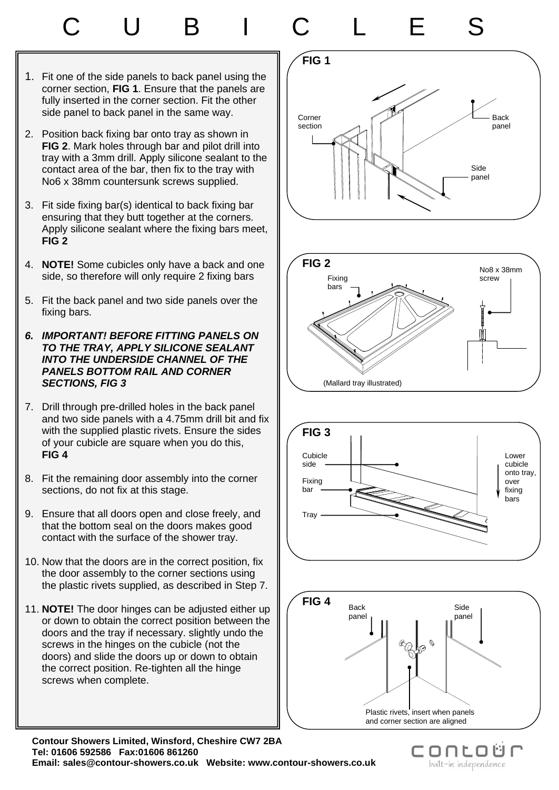# C U B I C L E S

- 1. Fit one of the side panels to back panel using the corner section, **FIG 1**. Ensure that the panels are fully inserted in the corner section. Fit the other side panel to back panel in the same way.
- 2. Position back fixing bar onto tray as shown in **FIG 2**. Mark holes through bar and pilot drill into tray with a 3mm drill. Apply silicone sealant to the contact area of the bar, then fix to the tray with No6 x 38mm countersunk screws supplied.
- 3. Fit side fixing bar(s) identical to back fixing bar ensuring that they butt together at the corners. Apply silicone sealant where the fixing bars meet, **FIG 2**
- 4. **NOTE!** Some cubicles only have a back and one side, so therefore will only require 2 fixing bars
- 5. Fit the back panel and two side panels over the fixing bars.
- *6. IMPORTANT! BEFORE FITTING PANELS ON TO THE TRAY, APPLY SILICONE SEALANT INTO THE UNDERSIDE CHANNEL OF THE PANELS BOTTOM RAIL AND CORNER SECTIONS, FIG 3*
- 7. Drill through pre-drilled holes in the back panel and two side panels with a 4.75mm drill bit and fix with the supplied plastic rivets. Ensure the sides of your cubicle are square when you do this, **FIG 4**
- 8. Fit the remaining door assembly into the corner sections, do not fix at this stage.
- 9. Ensure that all doors open and close freely, and that the bottom seal on the doors makes good contact with the surface of the shower tray.
- 10. Now that the doors are in the correct position, fix the door assembly to the corner sections using the plastic rivets supplied, as described in Step 7.
- 11. **NOTE!** The door hinges can be adjusted either up or down to obtain the correct position between the doors and the tray if necessary. slightly undo the screws in the hinges on the cubicle (not the doors) and slide the doors up or down to obtain the correct position. Re-tighten all the hinge screws when complete.









C.

ONLOU

built-in independence

**Contour Showers Limited, Winsford, Cheshire CW7 2BA Tel: 01606 592586 Fax:01606 861260 Email: sales@contour-showers.co.uk Website: www.contour-showers.co.uk**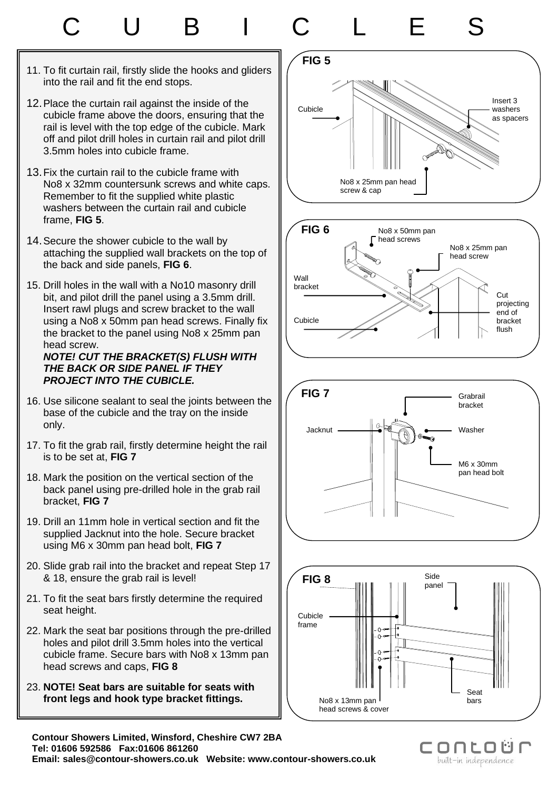# C U B I C L E S

- 11. To fit curtain rail, firstly slide the hooks and gliders into the rail and fit the end stops.
- 12.Place the curtain rail against the inside of the cubicle frame above the doors, ensuring that the rail is level with the top edge of the cubicle. Mark off and pilot drill holes in curtain rail and pilot drill 3.5mm holes into cubicle frame.
- 13.Fix the curtain rail to the cubicle frame with No8 x 32mm countersunk screws and white caps. Remember to fit the supplied white plastic washers between the curtain rail and cubicle frame, **FIG 5**.
- 14.Secure the shower cubicle to the wall by attaching the supplied wall brackets on the top of the back and side panels, **FIG 6**.
- 15. Drill holes in the wall with a No10 masonry drill bit, and pilot drill the panel using a 3.5mm drill. Insert rawl plugs and screw bracket to the wall using a No8 x 50mm pan head screws. Finally fix the bracket to the panel using No8 x 25mm pan head screw.

#### *NOTE! CUT THE BRACKET(S) FLUSH WITH THE BACK OR SIDE PANEL IF THEY PROJECT INTO THE CUBICLE.*

- 16. Use silicone sealant to seal the joints between the base of the cubicle and the tray on the inside only.
- 17. To fit the grab rail, firstly determine height the rail is to be set at, **FIG 7**
- 18. Mark the position on the vertical section of the back panel using pre-drilled hole in the grab rail bracket, **FIG 7**
- 19. Drill an 11mm hole in vertical section and fit the supplied Jacknut into the hole. Secure bracket using M6 x 30mm pan head bolt, **FIG 7**
- 20. Slide grab rail into the bracket and repeat Step 17 & 18, ensure the grab rail is level!
- 21. To fit the seat bars firstly determine the required seat height.
- 22. Mark the seat bar positions through the pre-drilled holes and pilot drill 3.5mm holes into the vertical cubicle frame. Secure bars with No8 x 13mm pan head screws and caps, **FIG 8**
- 23. **NOTE! Seat bars are suitable for seats with front legs and hook type bracket fittings.**









conto built-in independence